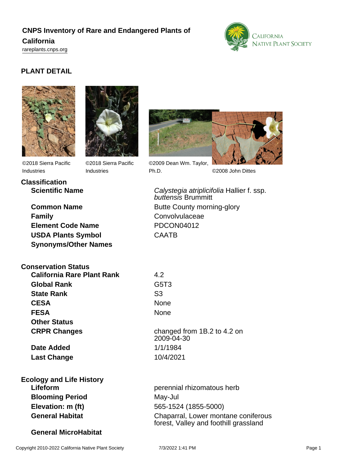## **CNPS Inventory of Rare and Endangered Plants of**

#### **California**

<rareplants.cnps.org>



#### **PLANT DETAIL**





©2018 Sierra Pacific Industries

**Classification**

©2018 Sierra Pacific Industries



©2009 Dean Wm. Taylor, Ph.D. ©2008 John Dittes

**Scientific Name** Calystegia atriplicifolia Hallier f. ssp.

**Common Name** Butte County morning-glory **Family** Convolvulaceae **Element Code Name** PDCON04012 **USDA Plants Symbol** CAATB **Synonyms/Other Names**

# **Conservation Status**

| <b>California Rare Plant Rank</b> | 4.2                           |
|-----------------------------------|-------------------------------|
| <b>Global Rank</b>                | G <sub>5</sub> T <sub>3</sub> |
| <b>State Rank</b>                 | S <sub>3</sub>                |
| <b>CESA</b>                       | None                          |
| <b>FESA</b>                       | None                          |
| <b>Other Status</b>               |                               |
| <b>CRPR Changes</b>               | chang                         |

**Date Added** 1/1/1984 **Last Change** 10/4/2021

**Ecology and Life History Blooming Period** May-Jul **Elevation: m (ft)** 565-1524 (1855-5000)

### **General MicroHabitat**

buttensis Brummitt

**CESA** None changed from 1B.2 to 4.2 on 2009-04-30

**Lifeform perennial rhizomatous herb perennial rhizomatous herb General Habitat** Chaparral, Lower montane coniferous forest, Valley and foothill grassland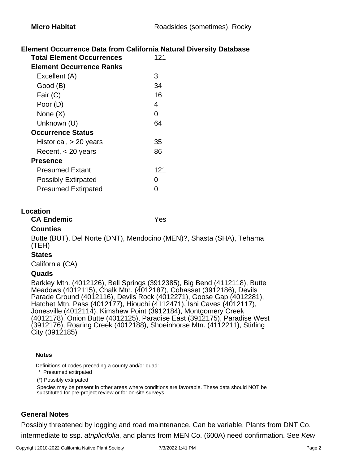#### **Element Occurrence Data from California Natural Diversity Database**

| <b>Total Element Occurrences</b> | 121 |
|----------------------------------|-----|
| <b>Element Occurrence Ranks</b>  |     |
| Excellent (A)                    | 3   |
| Good (B)                         | 34  |
| Fair (C)                         | 16  |
| Poor (D)                         | 4   |
| None $(X)$                       | 0   |
| Unknown (U)                      | 64  |
| <b>Occurrence Status</b>         |     |
| Historical, > 20 years           | 35  |
| Recent, $<$ 20 years             | 86  |
| <b>Presence</b>                  |     |
| <b>Presumed Extant</b>           | 121 |
| <b>Possibly Extirpated</b>       | O   |
| <b>Presumed Extirpated</b>       | U   |

#### **Location**

#### **CA Endemic** Yes

#### **Counties**

Butte (BUT), Del Norte (DNT), Mendocino (MEN)?, Shasta (SHA), Tehama (TEH)

#### **States**

California (CA)

#### **Quads**

Barkley Mtn. (4012126), Bell Springs (3912385), Big Bend (4112118), Butte Meadows (4012115), Chalk Mtn. (4012187), Cohasset (3912186), Devils Parade Ground (4012116), Devils Rock (4012271), Goose Gap (4012281), Hatchet Mtn. Pass (4012177), Hiouchi (4112471), Ishi Caves (4012117), Jonesville (4012114), Kimshew Point (3912184), Montgomery Creek (4012178), Onion Butte (4012125), Paradise East (3912175), Paradise West (3912176), Roaring Creek (4012188), Shoeinhorse Mtn. (4112211), Stirling City (3912185)

#### **Notes**

Definitions of codes preceding a county and/or quad:

\* Presumed extirpated

(\*) Possibly extirpated

Species may be present in other areas where conditions are favorable. These data should NOT be substituted for pre-project review or for on-site surveys.

#### **General Notes**

Possibly threatened by logging and road maintenance. Can be variable. Plants from DNT Co. intermediate to ssp. atriplicifolia, and plants from MEN Co. (600A) need confirmation. See Kew